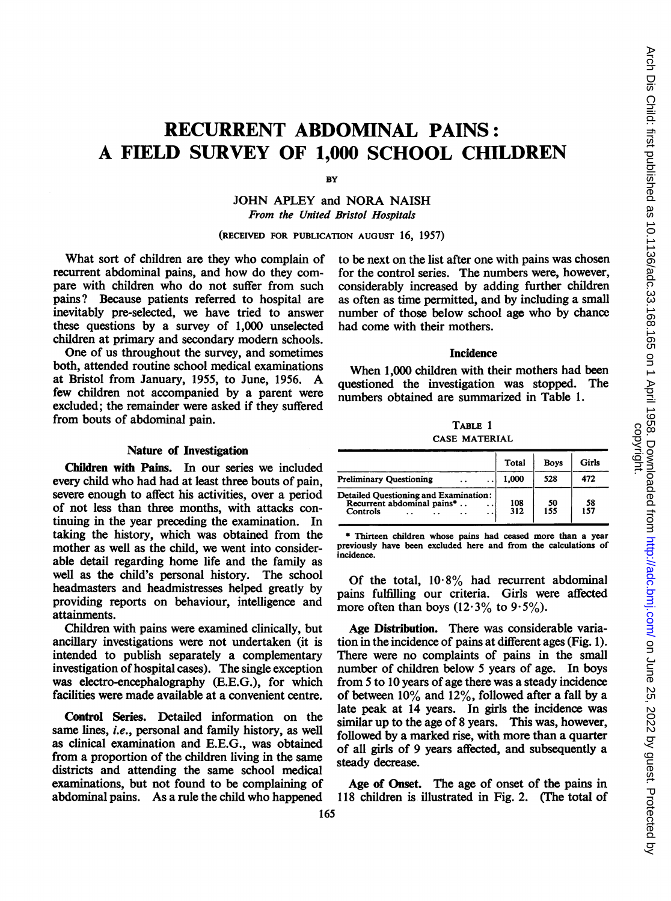# RECURRENT ABDOMINAL PAINS: A FIELD SURVEY OF 1,000 SCHOOL CHILDREN

BY

JOHN APLEY and NORA NAISH From the United Bristol Hospitals

(RECEIVED FOR PUBLICATION AUGUST 16, 1957)

What sort of children are they who complain of recurrent abdominal pains, and how do they compare with children who do not suffer from such pains? Because patients referred to hospital are inevitably pre-selected, we have tried to answer these questions by a survey of 1,000 unselected children at primary and secondary modem schools.

One of us throughout the survey, and sometimes both, attended routine school medical examinations at Bristol from January, 1955, to June, 1956. A few children not accompanied by a parent were excluded; the remainder were asked if they suffered from bouts of abdominal pain.

#### Nature of Investigation

Children with Pains. In our series we included every child who had had at least three bouts of pain, severe enough to affect his activities, over a period of not less than three months, with attacks continuing in the year preceding the examination. In taking the history, which was obtained from the mother as well as the child, we went into considerable detail regarding home life and the family as well as the child's personal history. The school headmasters and headmistresses helped greatly by providing reports on behaviour, intelligence and attainments.

Children with pains were examined clinically, but ancillary investigations were not undertaken (it is intended to publish separately a complementary investigation of hospital cases). The single exception was electro-encephalography (E.E.G.), for which facilities were made available at a convenient centre.

Control Series. Detailed information on the same lines, i.e., personal and family history, as well as clinical examination and E.E.G., was obtained from a proportion of the children living in the same districts and attending the same school medical examinations, but not found to be complaining of abdominal pains. As a rule the child who happened to be next on the list after one with pains was chosen for the control series. The numbers were, however, considerably increased by adding further children as often as time permitted, and by including a small number of those below school age who by chance had come with their mothers.

## **Incidence**

When 1,000 children with their mothers had been questioned the investigation was stopped. The numbers obtained are summarized in Table 1.

TABLE <sup>1</sup> CASE MATERIAL

|                                                                                                                                 | Total      | <b>Boys</b> | Girls      |
|---------------------------------------------------------------------------------------------------------------------------------|------------|-------------|------------|
| <b>Preliminary Ouestioning</b><br>. .                                                                                           | 1.000      | 528         | 472        |
| Detailed Questioning and Examination:<br>Recurrent abdominal pains*<br>. .<br>Controls<br>$\ddot{\phantom{a}}$<br>$\sim$<br>. . | 108<br>312 | 50<br>155   | -58<br>157 |

\* Thirteen children whose pains had ceased more than a year previously have been excluded here and from the calculations of incidence.

Of the total,  $10.8\%$  had recurrent abdominal pains fulfilling our criteria. Girls were affected more often than boys  $(12.3\% \text{ to } 9.5\%)$ .

Age Distribution. There was considerable variation in the incidence of pains at different ages (Fig. 1). There were no complaints of pains in the small number of children below 5 years of age. In boys from 5 to 10 years of age there was a steady incidence of between  $10\%$  and  $12\%$ , followed after a fall by a late peak at 14 years. In girls the incidence was similar up to the age of 8 years. This was, however, followed by a marked rise, with more than a quarter of all girls of 9 years affected, and subsequently a steady decrease.

Age of Onset. The age of onset of the pains in 118 children is illustrated in Fig. 2. (The total of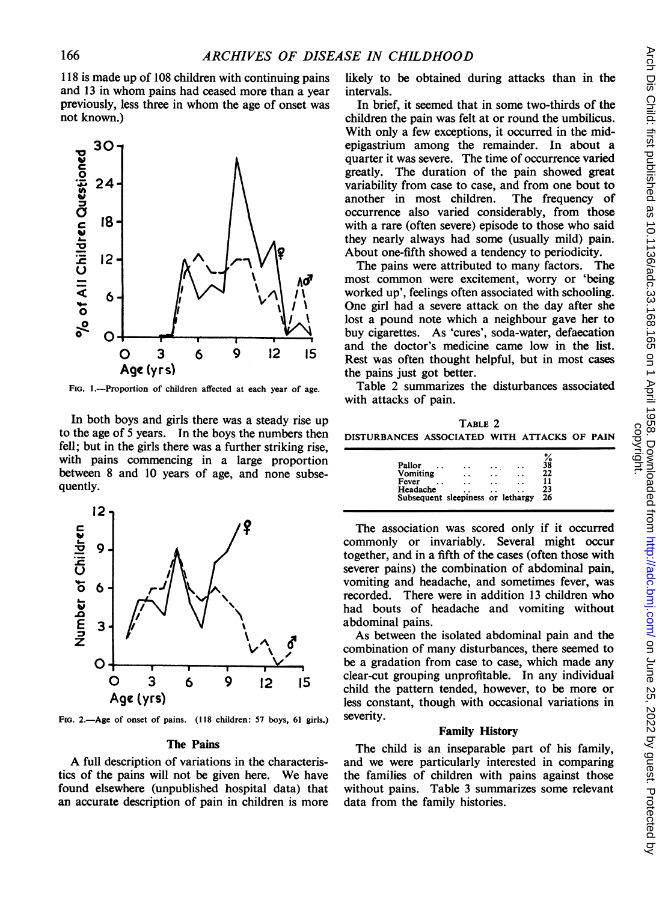118 is made up of 108 children with continuing pains and 13 in whom pains had ceased more than a vear previously, less three in whom the age of onset was not known.)



FIG. 1.--Proportion of children affected at each year of age.

In both boys and girls there was a steady rise up to the age of 5 years. In the boys the numbers then fell; but in the girls there was a further striking rise. with pains commencing in a large proportion between 8 and 10 years of age, and none subsequently.



FIG. 2.-Age of onset of pains. (118 children: 57 boys, 61 girls.)

#### The Pains

A full description of variations in the characteristics of the pains will not be given here. We have found elsewhere (unpublished hospital data) that an accurate description of pain in children is more likely to be obtained during attacks than in the intervals.

In brief, it seemed that in some two-thirds of the children the pain was felt at or round the umbilicus. With only a few exceptions, it occurred in the midepigastrium among the remainder. In about a quarter it was severe. The time of occurrence varied greatly. The duration of the pain showed great variability from case to case, and from one bout to another in most children. The frequency of occurrence also varied considerably, from those with a rare (often severe) episode to those who said they nearly always had some (usually mild) pain. About one-fifth showed a tendency to periodicity.

The pains were attributed to many factors. The most common were excitement, worry or 'being worked up', feelings often associated with schooling. One girl had a severe attack on the day after she lost a pound note which a neighbour gave her to buy cigarettes. As 'cures', soda-water, defaecation and the doctor's medicine came low in the list. Rest was often thought helpful, but in most cases the pains just got better.

Table 2 summarizes the disturbances associated with attacks of pain.

TABLE 2 DISTURBANCES ASSOCIATED WITH ATTACKS OF PAIN

| Headache                                  | Subsequent sleepiness or lethargy |            |                 | 23<br>26 |
|-------------------------------------------|-----------------------------------|------------|-----------------|----------|
| Vomiting<br>Fever<br>$\ddot{\phantom{0}}$ | . .<br>$\ddot{\phantom{0}}$       | . .<br>. . | . .             | 22<br>11 |
| Pallor                                    | . .                               |            | $\cdot$ $\cdot$ | śš       |

The association was scored only if it occurred commonly or invariably. Several might occur together, and in a fifth of the cases (often those with severer pains) the combination of abdominal pain, vomiting and headache, and sometimes fever, was recorded. There were in addition 13 children who had bouts of headache and vomiting without abdominal pains.

As between the isolated abdominal pain and the combination of many disturbances, there seemed to be a gradation from case to case, which made any clear-cut grouping unprofitable. In any individual child the pattern tended, however, to be more or less constant, though with occasional variations in severity.

# **Family History**

The child is an inseparable part of his family. and we were particularly interested in comparing the families of children with pains against those without pains. Table 3 summarizes some relevant data from the family histories.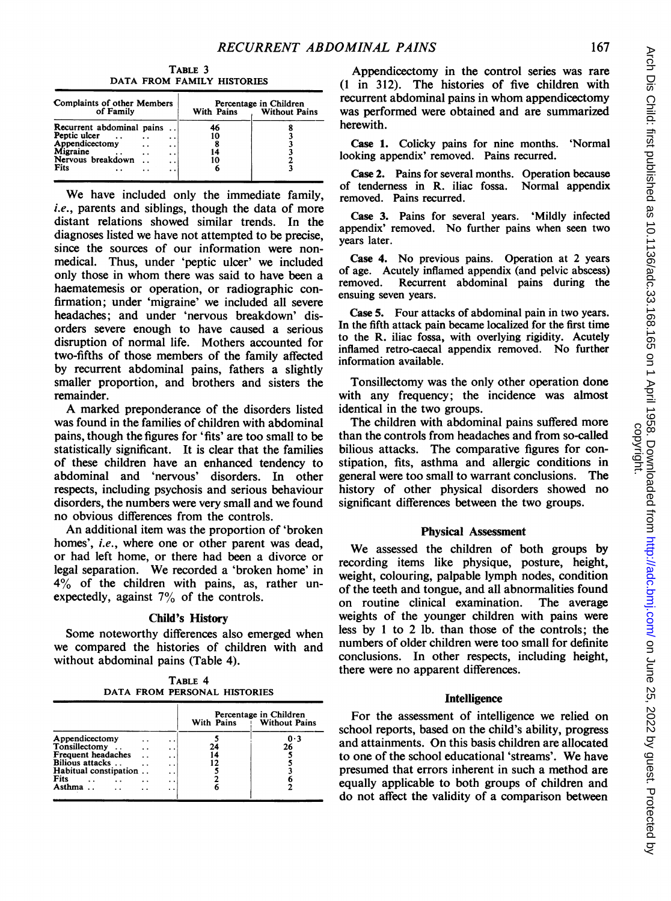TABLE 3 DATA FROM FAMILY HISTORIES

| Complaints of other Members<br>of Family                                                     |                                           | With Pains | Percentage in Children<br><b>Without Pains</b> |
|----------------------------------------------------------------------------------------------|-------------------------------------------|------------|------------------------------------------------|
| Recurrent abdominal pains<br>Peptic ulcer<br>Appendicectomy<br>Migraine<br>Nervous breakdown | . .<br>. .<br>. .<br>$\ddot{\phantom{1}}$ |            |                                                |
| Fits                                                                                         | . .<br>$\cdot$ $\cdot$                    |            |                                                |

We have included only the immediate family, *i.e.*, parents and siblings, though the data of more distant relations showed similar trends. In the diagnoses listed we have not attempted to be precise, since the sources of our information were nonmedical. Thus, under 'peptic ulcer' we included only those in whom there was said to have been <sup>a</sup> haematemesis or operation, or radiographic confirmation; under 'migraine' we included all severe headaches; and under 'nervous breakdown' disorders severe enough to have caused a serious disruption of normal life. Mothers accounted for two-fifths of those members of the family affected by recurrent abdominal pains, fathers a slightly smaller proportion, and brothers and sisters the remainder.

A marked preponderance of the disorders listed was found in the families of children with abdominal pains, though the figures for 'fits' are too small to be statistically significant. It is clear that the families of these children have an enhanced tendency to abdominal and 'nervous' disorders. In other respects, including psychosis and serious behaviour disorders, the numbers were very small and we found no obvious differences from the controls.

An additional item was the proportion of 'broken homes', i.e., where one or other parent was dead, or had left home, or there had been a divorce or legal separation. We recorded <sup>a</sup> 'broken home' in 4% of the children with pains, as, rather unexpectedly, against 7% of the controls.

# Child's History

Some noteworthy differences also emerged when we compared the histories of children with and without abdominal pains (Table 4).

TABLE 4 DATA FROM PERSONAL HISTORIES

|                       |                      |                      | Percentage in Children<br><b>Without Pains</b><br>With Pains |     |
|-----------------------|----------------------|----------------------|--------------------------------------------------------------|-----|
| Appendicectomy        |                      | . .                  |                                                              | 0.3 |
| Tonsillectomy         | $\ddot{\phantom{0}}$ | . .                  | 24                                                           | 26  |
| Frequent headaches    |                      | . .                  |                                                              |     |
| Bilious attacks       |                      | $\ddot{\phantom{0}}$ |                                                              |     |
| Habitual constipation |                      | $\ddot{\phantom{0}}$ |                                                              |     |
| <b>Fits</b>           |                      | . .                  |                                                              |     |
| Asthma                |                      | $\cdot$ .            |                                                              |     |

Appendicectomy in the control series was rare (1 in 312). The histories of five children with recurrent abdominal pains in whom appendicectomy was performed were obtained and are summarized herewith.

Case 1. Colicky pains for nine months. 'Normal looking appendix' removed. Pains recurred.

Case 2. Pains for several months. Operation because of tendemess in R. iliac fossa. Normal appendix removed. Pains recurred.

Case 3. Pains for several years. 'Mildly infected appendix' removed. No further pains when seen two years later.

Case 4. No previous pains. Operation at <sup>2</sup> years of age. Acutely inflamed appendix (and pelvic abscess) Recurrent abdominal pains during the ensuing seven years.

Case 5. Four attacks of abdominal pain in two years. In the fifth attack pain became localized for the first time to the R. iliac fossa, with overlying rigidity. Acutely inflamed retro-caecal appendix removed. No further information available.

Tonsillectomy was the only other operation done with any frequency; the incidence was almost identical in the two groups.

The children with abdominal pains suffered more than the controls from headaches and from so-called bilious attacks. The comparative figures for constipation, fits, asthma and allergic conditions in general were too small to warrant conclusions. The history of other physical disorders showed no significant differences between the two groups.

## Physical Assessment

We assessed the children of both groups by recording items like physique, posture, height, weight, colouring, palpable lymph nodes, condition of the teeth and tongue, and all abnormalities found on routine clinical examination. The average weights of the younger children with pains were less by <sup>I</sup> to 2 lb. than those of the controls; the numbers of older children were too small for definite conclusions. In other respects, including height, there were no apparent differences.

## **Intelligence**

For the assessment of intelligence we relied on school reports, hased on the child's ability, progress and attainments. On this basis children are allocated to one of the school educational 'streams'. We have presumed that errors inherent in such a method are equally applicable to both groups of children and do not affect the validity of a comparison between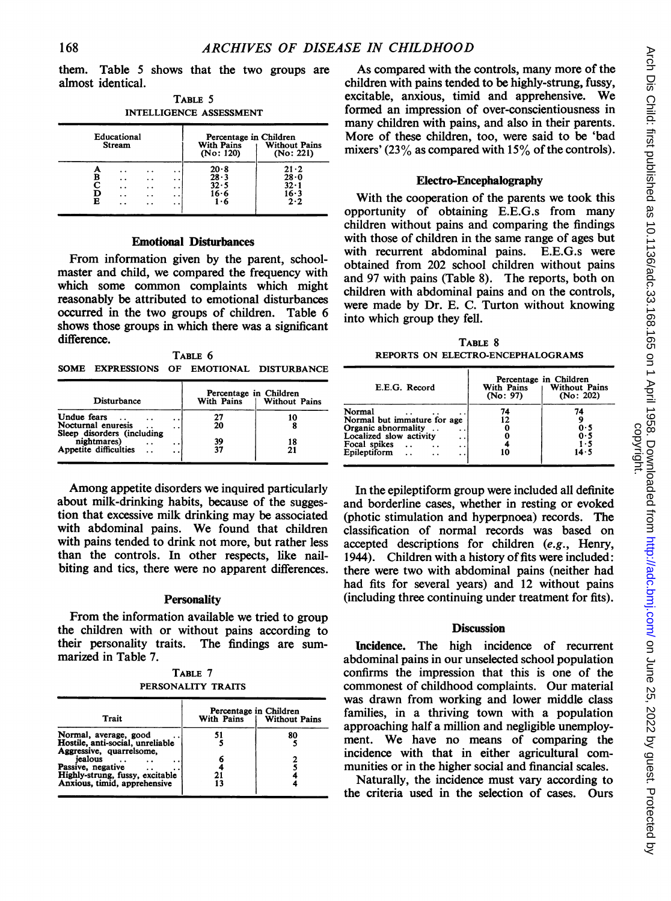them. Table 5 shows that the two groups are almost identical.

TABLE 5 INTELLIGENCE ASSESSMENT

|        | Educational<br><b>Stream</b>                     |                                             |                                 | Percentage in Children<br><b>With Pains</b><br>(No: 120) | <b>Without Pains</b><br>(No: 221)                       |
|--------|--------------------------------------------------|---------------------------------------------|---------------------------------|----------------------------------------------------------|---------------------------------------------------------|
| в<br>R | . .<br>. .<br>$\ddot{\phantom{0}}$<br>. .<br>. . | . .<br>. .<br>. .<br>$\cdot$ $\cdot$<br>. . | . .<br>. .<br>. .<br>. .<br>. . | 20.8<br>28.3<br>32.5<br>16.6<br>1.6                      | $21 - 2$<br>$28 - 0$<br>$32 \cdot 1$<br>$16 - 3$<br>2.2 |

## Emotional Disturbances

From information given by the parent, schoolmaster and child, we compared the frequency with which some common complaints which might reasonably be attributed to emotional disturbances occurred in the two groups of children. Table 6 shows those groups in which there was a significant difference.

TABLE 6 SOME EXPRESSIONS OF EMOTIONAL DISTURBANCE

| Disturbance                                                                                    | Percentage in Children<br>With Pains | <b>Without Pains</b> |
|------------------------------------------------------------------------------------------------|--------------------------------------|----------------------|
| Undue fears<br>. .<br>Nocturnal enuresis<br>$\ddot{\phantom{0}}$<br>Sleep disorders (including | 27<br>20                             | 10                   |
| nightmares)<br>$\ddot{\phantom{0}}$<br>. .<br>Appetite difficulties<br>. .                     | 39<br>37                             | 18<br>21             |

Among appetite disorders we inquired particularly about milk-drinking habits, because of the suggestion that excessive milk drinking may be associated with abdominal pains. We found that children with pains tended to drink not more, but rather less than the controls. In other respects, like nailbiting and tics, there were no apparent differences.

## **Personality**

From the information available we tried to group the children with or without pains according to their personality traits. The findings are summarized in Table 7.

TABLE 7 PERSONALITY TRAITS

| Trait                                                                                 | Percentage in Children<br>With Pains<br><b>Without Pains</b> |    |  |
|---------------------------------------------------------------------------------------|--------------------------------------------------------------|----|--|
| Normal, average, good<br>Hostile, anti-social, unreliable<br>Aggressive, quarrelsome, | 51                                                           | 80 |  |
| iealous<br>$\cdot$ $\cdot$<br>Passive, negative<br>Highly-strung, fussy, excitable    |                                                              |    |  |
| Anxious, timid, apprehensive                                                          | 13                                                           |    |  |

As compared with the controls, many more of the children with pains tended to be highly-strung, fussy, excitable, anxious, timid and apprehensive. We formed an impression of over-conscientiousness in many children with pains, and also in their parents. More of these children, too, were said to be 'bad mixers' (23% as compared with 15% of the controls).

#### Electro-Encephalography

With the cooperation of the parents we took this opportunity of obtaining E.E.G.s from many children without pains and comparing the findings with those of children in the same range of ages but with recurrent abdominal pains. E.E.G.s were obtained from 202 school children without pains and 97 with pains (Table 8). The reports, both on children with abdominal pains and on the controls, were made by Dr. E. C. Turton without knowing into which group they fell.

TABLE 8 REPORTS ON ELECTRO-ENCEPHALOGRAMS

| E.E.G. Record                                                                                                                                                                         | With Pains<br>(No: 97) | Percentage in Children<br><b>Without Pains</b><br>(No: 202) |
|---------------------------------------------------------------------------------------------------------------------------------------------------------------------------------------|------------------------|-------------------------------------------------------------|
| Normal<br>Normal but immature for age<br>Organic abnormality<br>Localized slow activity<br>$\cdot$ $\cdot$<br>Focal spikes<br>$\ddot{\phantom{0}}$<br>$\cdot$ $\cdot$<br>Epileptiform |                        | 74<br>0.5<br>0.5<br>1.5<br>14.5                             |

In the epileptiform group were included all definite and borderline cases, whether in resting or evoked (photic stimulation and hyperpnoea) records. The classification of normal records was based on accepted descriptions for children (e.g., Henry, 1944). Children with a history of fits were included: there were two with abdominal pains (neither had had fits for several years) and 12 without pains (including three continuing under treatment for fits).

#### **Discussion**

Incidence. The high incidence of recurrent abdominal pains in our unselected school population confirms the impression that this is one of the commonest of childhood complaints. Our material was drawn from working and lower middle class families, in a thriving town with a population approaching half a million and negligible unemployment. We have no means of comparing the incidence with that in either agricultural communities or in the higher social and financial scales.

Naturally, the incidence must vary according to the criteria used in the selection of cases. Ours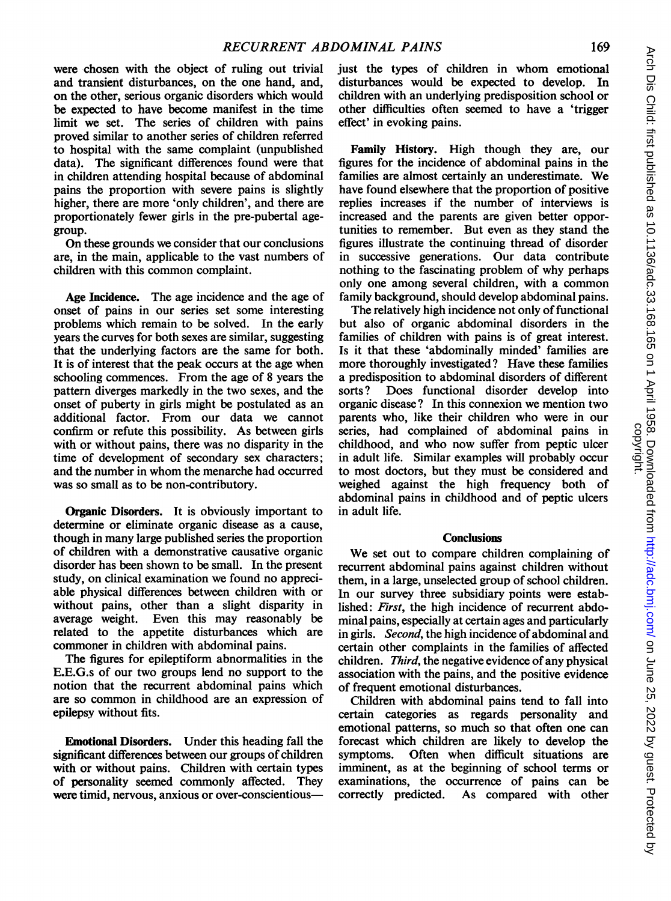were chosen with the object of ruling out trivial and transient disturbances, on the one hand, and, on the other, serious organic disorders which would be expected to have become manifest in the time limit we set. The series of children with pains proved similar to another series of children referred to hospital with the same complaint (unpublished data). The significant differences found were that in children attending hospital because of abdominal pains the proportion with severe pains is slightly higher, there are more 'only children', and there are proportionately fewer girls in the pre-pubertal agegroup.

On these grounds we consider that our conclusions are, in the main, applicable to the vast numbers of children with this common complaint.

Age Incidence. The age incidence and the age of onset of pains in our series set some interesting problems which remain to be solved. In the early years the curves for both sexes are similar, suggesting that the underlying factors are the same for both. It is of interest that the peak occurs at the age when schooling commences. From the age of <sup>8</sup> years the pattern diverges markedly in the two sexes, and the onset of puberty in girls might be postulated as an additional factor. From our data we cannot confirm or refute this possibility. As between girls with or without pains, there was no disparity in the time of development of secondary sex characters; and the number in whom the menarche had occurred was so small as to be non-contributory.

Organic Disorders. It is obviously important to determine or eliminate organic disease as a cause, though in many large published series the proportion of children with a demonstrative causative organic disorder has been shown to be small. In the present study, on clinical examination we found no appreciable physical differences between children with or without pains, other than a slight disparity in average weight. Even this may reasonably be related to the appetite disturbances which are commoner in children with abdominal pains.

The figures for epileptiform abnormalities in the E.E.G.s of our two groups lend no support to the notion that the recurrent abdominal pains which are so common in childhood are an expression of epilepsy without fits.

Emotional Disorders. Under this heading fall the significant differences between our groups of children with or without pains. Children with certain types of personality seemed commonly affected. They were timid, nervous, anxious or over-conscientiousjust the types of children in whom emotional disturbances would be expected to develop. In children with an underlying predisposition school or other difficulties often seemed to have a 'trigger effect' in evoking pains.

Family History. High though they are, our figures for the incidence of abdominal pains in the families are almost certainly an underestimate. We have found elsewhere that the proportion of positive replies increases if the number of interviews is increased and the parents are given better opportunities to remember. But even as they stand the figures illustrate the continuing thread of disorder in successive generations. Our data contribute nothing to the fascinating problem of why perhaps only one among several children, with a common family background, should develop abdominal pains.

The relatively high incidence not only of functional but also of organic abdominal disorders in the families of children with pains is of great interest. Is it that these 'abdominally minded' families are more thoroughly investigated? Have these families a predisposition to abdominal disorders of different sorts? Does functional disorder develop into organic disease? In this connexion we mention two parents who, like their children who were in our series, had complained of abdominal pains in childhood, and who now suffer from peptic ulcer in adult life. Similar examples will probably occur to most doctors, but they must be considered and weighed against the high frequency both of abdominal pains in childhood and of peptic ulcers in adult life.

# **Conclusions**

We set out to compare children complaining of recurrent abdominal pains against children without them, in a large, unselected group of school children. In our survey three subsidiary points were established: First, the high incidence of recurrent abdominal pains, especially at certain ages and particularly in girls. Second, the high incidence of abdominal and certain other complaints in the families of affected children. Third, the negative evidence of any physical association with the pains, and the positive evidence of frequent emotional disturbances.

Children with abdominal pains tend to fall into certain categories as regards personality and emotional patterns, so much so that often one can forecast which children are likely to develop the symptoms. Often when difficult situations are imminent, as at the beginning of school terms or examinations, the occurrence of pains can be correctly predicted. As compared with other